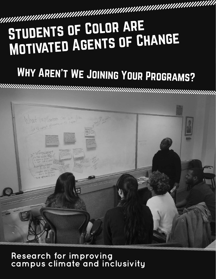# MANUTE OF COLOR AREST UDENTS OF COLOR ARE Motivated Agents of Change

# WHY AREN'T WE JOINING YOUR PROGRAMS?



# **Research for improving campus climate and inclusivity**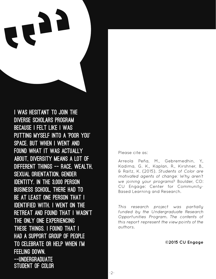I was hesitant to join the Diverse Scholars program because I felt like I was putting myself into a 'poor you' space. But when I went and found what it was actually about, diversity means a lot of different things -- race, wealth, sexual orientation, gender identity. In the 3,000 person business school, there had to be at least one person that I identified with. I went on the retreat and found that I wasn't the only one experiencing these things. I found that I had a support group of people to celebrate or help when I'm feeling down. --UNDERGRADUATE Student of Color

Please cite as:

Arreola Peña, M., Gebremedhin, Y., Kadima, G. K., Kaplan, R., Kirshner, B., & Raitz, K. (2015). *Students of Color are motivated agents of change: Why aren't we joining your programs?* Boulder, CO: CU Engage: Center for Community-Based Learning and Research.

*This research project was partially funded by the Undergraduate Research Opportunities Program. The contents of this report represent the viewpoints of the authors.*

**©2015 CU Engage**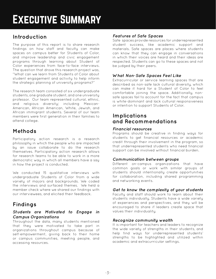# EXECUTIVE SUMMARY

### **Introduction**

The purpose of this report is to share research findings on how staff and faculty can make spaces on campus better for Students of Color, and improve leadership and civic engagement programs through learning about Student of Color experiences from face-to-face interviews. The question that drove this research project was, "What can we learn from Students of Color about student engagement and activity to help inform the strategic planning of university programs?"

The research team consisted of six undergraduate students, one graduate student, and one university professor. Our team represented cultural, ethnic, and religious diversity; including Mexican-American, African American, White, Jewish, and African immigrant students. Several of our team members were first generation in their families to attend college.

### **Methods**

Participatory action research is a research philosophy in which the people who are impacted by an issue collaborate to do the research themselves. Participatory action research allows for research teams to be able to work in a more democratic way in which all members have a say in how the project is conducted.

We conducted 15 qualitative interviews with undergraduate Students of Color from a wide variety of majors and backgrounds. We coded the interviews and surfaced themes. We held a member check where we shared our findings with our interviewees, and elicited their feedback.

# **Findings**

#### *Students are Motivated to Engage in Campus Organizations*

Throughout the data, many students mentioned that they were motivated to take part in organizations throughout campus because of self-empowerment, giving back to their home or campus communities, meeting people, and accessing resources.

#### *Features of Safe Spaces*

Safe spaces provide resources for underrepresented student success, like academic support and materials. Safe spaces are places where students can know that they can engage in conversations in which their voices are heard and their ideas are respected. Students can go to these spaces and not be judged by their peers.

#### *What Non-Safe Spaces Feel Like*

Extracurricular or service learning spaces that are described as non-safe lack cultural diversity, which can make it hard for a Student of Color to feel comfortable joining the space. Additionally, nonsafe spaces fail to account for the fact that campus is white-dominant and lack cultural responsiveness or intention to support Students of Color.

#### **Implications and Recommendations**

#### *Financial resources*

Programs should be creative in finding ways for students to get financial resources or academic credit through their involvement in the program, so that underrepresented students who need financial support can be involved without financial burden.

#### *Communication between groups*

Different on-campus organizations that have common goals or work with similar groups of students should intentionally create opportunities for collaboration, including shared programming and networking events.

#### *Get to know the complexity of your students*

Faculty and staff should work to learn about their students individually. Students have a wide variety of experiences and perspectives, and they will be encouraged to share if leaders create space that values their individuality.

#### *Recognize community wealth*

It is important for teachers and leaders to recognize the wide variety of strengths in their students, and help find ways for underrepresented students' strengths to be highlighted and utilized within academic and extracurricular settings.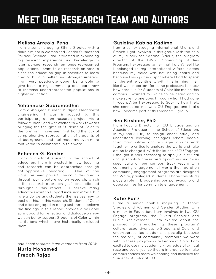# Meet Our Research Team and Authors

#### **Melissa Arreola-Pena**

I am a senior studying Ethnic Studies with a double minor in Women and Gender Studies and Political Science. I am interested in expanding my research experience and knowledge to later pursue research on underrepresented populations. I want to do research on how to close the education gap in societies to learn how to build a better and stronger America. I am very passionate about being able to give back to my community and learn how to increase underrepresented populations in higher education.

#### **Yohannese Gebremedhin**

I am a 4th year student studying Mechanical Engineering. I was introduced to this participatory action research project via a fellow student, and was excited to work towards bringing the thoughts of Students of Color to the forefront. I have seen first-hand the lack of comprehensive representation of students of all backgrounds and that made me even more motivated to collaborate in this work.

#### **Rebecca G. Kaplan**

I am a doctoral student in the school of education. I am interested in how teaching and research can be approached through anti-oppressive pedagogy. One of the ways I've seen powerful work in this area is through participatory action research, which is the research approach you'll find reflected throughout this report. I believe many educators want to support inclusion efforts, but rarely do we ask students themselves how to best do this. In this research, Students of Color and allies engaged in doing just that. I believe the findings in this report provide a valuable springboard for reflection and dialogue on how we can better support Students of Color within institutions which have historically excluded them.

*Additional research team members from 2014*:

**Nurta Mohamed Fredah Rajab**

#### **Gyslaine Kabisa Kadima**

I am a senior studying International Affairs and French. I got involved in this group with the help of my supervisor Sabrina Sideris, the program director of the INVST Community Studies Program. I expressed to her that I didn't feel like I belonged in my International Affairs classes because my voice was not being heard and because I was put in a spot where I had to speak for the entire continent. With this in mind, I felt like it was important for some professors to know how hard it is for Students of Color like me on this campus. I wanted my voice to be heard and to make sure no one goes through what I had gone through. After I expressed to Sabrina how I felt, she connected me with CU Engage, and that's how I became part of this wonderful group.

#### **Ben Kirshner, PhD**

I am Faculty Director for CU Engage and an Associate Professor in the School of Education. In my work I try to design, enact, study, and understand learning ecologies where people from marginalized and privileged groups work together to critically analyze the world and take action to change it. With the launch of CU Engage, I thought it was necessary to apply our critical analysis tools to the university campus and focus specifically on our campus' track record with community engagement. I worry that too often community engagement programs are designed for White, privileged students. I hope this study plays a role in broadening our pathways to and opportunities for community engagement.

#### **Katie Raitz**

I am a senior double majoring in Ethnic Studies and Women and Gender Studies, with a minor in Education. I am involved in two CU Engage programs, the Puksta Scholars and Public Achievement. I am excited about the prospect of strengthening these programs' cultural responsiveness to Students of Color and underrepresented students, especially because the majority of community members we work with in these programs are People of Color. I am excited to use my academic knowledge of critical race and social justice theory in practice to make campus spaces more welcoming and inclusive for Students of Color at CU.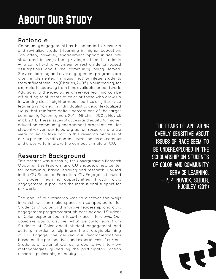# About Our Study

# **Rationale**

Community engagement has the potential to transform and revitalize student learning in higher education. Too often, however, engagement opportunities are structured in ways that privilege affluent students who can afford to volunteer or rest on deficit-based assumptions about the community being served. Service learning and civic engagement programs are often implemented in ways that privilege students from affluent families (Charles, 2005). Volunteering, for example, takes away from time available for paid work. Additionally, the ideologies of service learning can be off-putting to students of color or those who grew up in working class neighborhoods, particularly if service learning is framed in individualistic, decontextualized ways that reinforce deficit perceptions of the target community (Countryman, 2012; Mitchell, 2008; Novick et al., 2011). These issues of access and equity for higher education community engagement programs call for student-driven participatory action research, and we were called to take part in this research because of our experiences with non-inclusive spaces on campus and a desire to improve the campus climate at CU.

# **Research Background**

This research was funded by the Undergraduate Research Opportunities Program and CU Engage, a new center for community-based learning and research. Housed in the CU School of Education, CU Engage is focused on student learning opportunities through civic engagement; it provided the institutional support for our work.

The goal of our research was to discover the ways in which we can make spaces on campus better for Students of Color, and improve leadership and civic engagement programs through learning about Student of Color experiences in face-to-face interviews. Our objective was to discover what we could learn from Students of Color about student engagement and activity in order to help inform the strategic planning of CU Engage. We derived our recommendations based on the perspectives and experiences of current Students of Color at CU, using qualitative interview methodologies, guided by the participatory action research philosophy of inquiry.

The fears of appearing overly sensitive about issues of race seem to be underexplored in the scholarship on students of color and community service learning. --p. 4, Novick, Seider, Huguley (2011)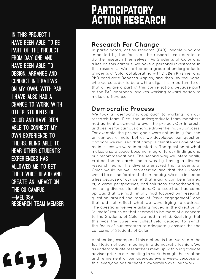# **PARTICIPATORY** Action research

In this project I have been able to be part of the project from day one and have been able to design, arrange and conduct interviews on my own. With PAR I have also had a chance to work with other Students of Color and have been able to connect my own experience to theirs. Being able to hear other students' experiences has allowed me to get their voice heard and create an impact on THE CU CAMPUS. --Melissa, Research Team Member

### **Research For Change**

In participatory action research (PAR), people who are impacted by the focus of the research collaborate to do the research themselves. As Students of Color and allies on this campus, we have a personal investment in this research. We started as a group of undergraduate Students of Color collaborating with Dr. Ben Kirshner and PhD candidate Rebecca Kaplan, and then invited Katie, who we consider to be a white ally. It is important to us that allies are a part of this conversation, because part of the PAR approach involves working toward action to make a difference.

### **Democratic Process**

We took a democratic approach to working on our research team. First, the undergraduate team members had authentic ownership over the project. Our interests and desires for campus change drove the inquiry process. For example, the project goals were not initially focused on campus climate, but as we developed our question protocol, we realized that campus climate was one of the main issues we were interested in. The question of what makes a safe space became integral to our findings and our recommendations. The second way we intentionally crafted the research space was by having a diverse research team. This diversity ensured that Students of Color would be well represented and that their voices would be at the forefront of our inquiry. We also included allies because of our belief that inquiry can be informed by diverse perspectives, and solutions strengthened by including diverse stakeholders. One issue that had came up was that we had initially had focused our research question around the topic of "civic engagement" and that did not reflect what we were trying to address. The questions we were asking moved in the direction of "climate" issues as that seemed to be more of a concern to the Students of Color we had in mind. Realizing that this was the case, we collectively decided to switch the focus of our research to adequately answer the the concerns of Students of Color.

Another key example of this method is that we rotate the facilitation of each meeting in a democratic fashion. We as undergraduate researchers meet up with our graduate advisor prior to our meeting to work through the creation and refinement of our agendas every week. Because of this, everyone has authentic ownership over our work.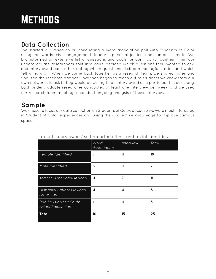# **Data Collection**

We started our research by conducting a word association poll with Students of Color using the words: civic engagement, leadership, social justice, and campus climate. We brainstormed an extensive list of questions and goals for our inquiry together. Then our undergraduate researchers split into pairs, decided which questions they wanted to ask, and interviewed each other, noting which questions elicited meaningful stories and which felt unnatural. When we came back together as a research team, we shared notes and finalized the research protocol. We then began to reach out to students we knew from our own networks to ask if they would be willing to be interviewed as a participant in our study. Each undergraduate researcher conducted at least one interview per week, and we used our research team meeting to conduct ongoing analysis of these interviews.

# **Sample**

We chose to focus our data collection on Students of Color, because we were most interested in Student of Color experiences and using their collective knowledge to improve campus spaces.

|                                                           | Word<br>Association      | Interview | Total |
|-----------------------------------------------------------|--------------------------|-----------|-------|
| <b>Female Identified</b>                                  | $\overline{7}$           | 11        | 18    |
| Male Identified                                           | 3                        | 4         | 7     |
| African-American/African                                  | $\overline{\mathcal{A}}$ | 7         | 11    |
| Hispanic/Latino/Mexican-<br>American                      | $\overline{4}$           | 4         | 8     |
| <b>Pacific Islander/South</b><br><b>Asian/Palestinian</b> |                          | 4         | 5     |
| Total                                                     | 10                       | 15        | 25    |

Table 1: Interviewees' self reported ethnic and racial identities.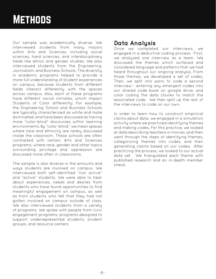# **METHODS**

Our sample was academically diverse. We interviewed students from many majors within Arts and Sciences, including social sciences, hard sciences, and interdisciplinary fields like ethnic and gender studies. We also interviewed students from the Engineering, Journalism, and Business Schools. The diversity in academic programs helped to provide a more full understanding of student experiences on campus, because students from different fields interact differently with the spaces across campus. Also, each of these programs have different social climates, which impact Students of Color differently. For example, the Engineering School and Business Schools are typically characterized as white and male dominated, and have been discussed as having more "color-blind" discourses within learning environments. By "color-blind," we mean spaces where race and ethnicity are rarely discussed inside the classroom. These schools are often contrasted with certain Arts and Sciences programs, where race, gender and other topics surrounding privilege and oppression are discussed more often in classrooms.

The sample is also diverse in the amounts and ways students are involved on campus. We interviewed both self-identified "non active" and "active" students. We were able to hear about experiences, needs and desires from students who have found opportunities to find meaningful engagement on campus, as well as from students who felt that they had not gotten involved on campus outside of class. We also interviewed students from a variety of programs. We spoke with people from civic engagement programs, programs designed to support underrepresented students, student groups, and resource centers

### **Data Analysis**

Once we completed our interviews, we engaged in a deductive coding process. First, we analyzed one interview as a team. We discussed the themes which surfaced and considered language and patterns that we had heard throughout our ongoing analysis. From those themes, we developed a set of codes. Then, we split into pairs to code a second interview-- entering any emergent codes into our shared code book on google drive, and color coding the data chunks to match the associated code. We then split up the rest of the interviews to code on our own.

In order to learn how to construct empirical claims about data, we engaged in a simulation activity where we practiced identifying themes and making codes. For this practice, we looked at data describing teachers in movies, and then went through the steps of identifying themes, categorizing themes into codes, and then generating claims based on our codes. After practicing the process, we looked to our actual data set. We triangulated each theme with published research and an in-depth member check.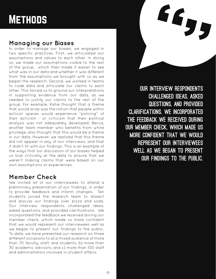# **METHODS**

### **Managing our Biases**

In order to manage our biases, we engaged in two specific practices. First, we articulated our assumptions and values to each other. In doing so, we made our assumptions visible to the rest of the group, which then made it easier to see what was in our data and whether it was different from the assumptions we brought with us as we began the research. Second, we worked in teams to code data and articulate our claims to each other. This forced us to ground our interpretations in supporting evidence from our data, as we needed to justify our claims to the rest of the group. For example, Katie thought that a theme that would arise was the notion that people within activist spaces would experience "policing" of their activism - or criticism that their political analysis was not adequately developed. Becca, another team member who benefits from white privilege, also thought that this would be a theme in our data. However, we realized that this theme did not appear in any of our interviews, and that it didn't fit with our findings. This is an example of the ways that our discussion of our biases helped us look critically at the data to ensure that we weren't making claims that were based on our own assumptions or experiences.

### **Member Check**

We invited all of our interviewees to attend a preliminary presentation of our findings, in order to provide feedback and inform changes. Ten students joined the research team to dissect and discuss our findings over pizza and soda. Our interview respondents challenged ideas, asked questions, and provided clarifications. We incorporated the feedback we received during our member check, which made us more confident that we would represent our interviewees well as we began to present our findings to the public. To date, we have presented our research on three different occasions to a) a mixed audience of more than 70 faculty, staff, and students, b) more than 30 academic advisors, and c) more than 100 staff and administrators involved in student affairs.

Our interview respondents challenged ideas, asked questions, and provided clarifications. We incorporated the feedback we received during our member check, which made us more confident that we would represent our interviewees well as we began to present our findings to the public.

**EE5**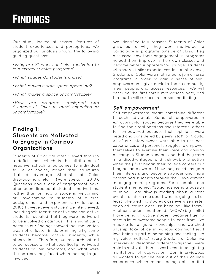# **FINDINGS**

Our study looked at several features of student experiences and perceptions. We organized our analysis around the following guiding questions:

*•Why are Students of Color motivated to join extracurricular programs?*

*•What spaces do students chose?*

*•What makes a safe space appealing?*

*•What makes a space uncomfortable?*

*•How are programs designed with Students of Color in mind appealing or uncomfortable?*

### **Finding 1: Students are Motivated to Engage in Campus Organizations**

Students of Color are often viewed through a deficit lens, which is the attribution of negative schooling outcomes to individual failure or choice, rather than structures that disadvantage Students of Color disproportionately (Valenzuela, 2010). Questions about lack of engagement have often been directed at students' motivations, rather than on how a space is welcoming or unwelcoming to students of diverse backgrounds and experiences (Valenzuela, 2010). However, every student we interviewed, including self-identified active and non-active students, revealed that they were motivated to be involved on campus. This is significant, because our findings showed that motivation was not a factor in determining why some students become "active" students, while others don't. Therefore, our research shifted to be focused on what specifically motivated students to join programs, and what were the barriers they faced when looking to get involved.

We identified four reasons Students of Color gave as to why they were motivated to participate in programs outside of class. They discussed how their engagement in programs helped them improve in their own classes and become better supporters for younger students who share similar experiences. In our interviews, Students of Color were motivated to join diverse programs in order to gain a sense of selfempowerment, give back to their community, meet people, and access resources. We will describe the first three motivations here, and the fourth will surface in our second finding.

#### *Self-empowerment*

Self-empowerment meant something different to each individual. Some felt empowered in extracurricular spaces because they were able to find their real passions and interests; others felt empowered because their opinions were heard and considered by peers, staff, or faculty. All of our interviewees were able to use past experiences and personal struggles to empower themselves to exercise their voice and opinion on campus. Students understood that they were in a disadvantaged and vulnerable situation when they first began their college careers but they became aware of how they could navigate their interests and become stronger and more determined students through their involvement in engagement programs. For example, one student mentioned, "Social justice is a passion of mine. I am always reading about current events to inform me about what is going on. I at least take a ethnic studies class every semester or an education class just because I like them." Another student mentioned, "WOW (big smile) I love being an active student because I get to meet a lot of awesome people to learn from. I've made a lot of good friendships, and watched allyship take place in various communities. I love being a part of something and feeling like my voice matters." Every Student of Color we interviewed described different ways they were able to motivate themselves to continue fighting institutions of oppression. Our interviewees all wanted to get the best out of their college experience which meant being able to find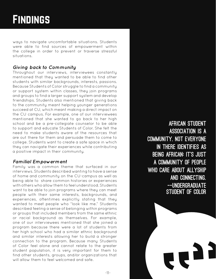# Findings

ways to navigate uncomfortable situations. Students were able to find sources of empowerment within the college in order to prevent or traverse stressful situations.

#### *Giving back to Community*

Throughout our interviews, interviewees constantly mentioned that they wanted to be able to find other students with similar backgrounds, interests, passions. Because Students of Color struggle to find a community or support system within classes, they join programs and groups to find a larger support system and develop friendships. Students also mentioned that giving back to the community meant helping younger generations succeed at CU, which meant making a direct impact on the CU campus. For example, one of our interviewees mentioned that she wanted to go back to her high school and be a pre-collegiate counselor to be able to support and educate Students of Color. She felt the need to make students aware of the resources that are out there for them and persuade them to come to college. Students want to create a safe space in which they can navigate their experiences while contributing a positive impact in their community.

#### *Familial Empowerment*

Family was a common theme that surfaced in our interviews. Students described wanting to have a sense of home and community on the CU-campus as well as being able to share common histories or experiences with others who allow them to feel understood. Students want to be able to join programs where they can meet people with their same interests, backgrounds, and experiences, oftentimes explicitly stating that they wanted to meet people who "look like me." Students described feeling a sense of belonging within programs or groups that included members from the same ethnic or racial background as themselves. For example, one of our interviewees mentioned that she joined a program because there were a lot of students from her high school who had a similar ethnic background and similar interests allowing her to build a stronger connection to the program. Because many Students of Color feel alone and cannot relate to the greater student population, it is very important for them to find other students, groups, and/or organizations that will allow them to feel welcomed and safe.

African Student Association is a community. Not everyone in there identifies as BEING AFRICAN: IT'S JUST a community of people who care about allyship and connecting. -- UNDERGRADUATE Student of Color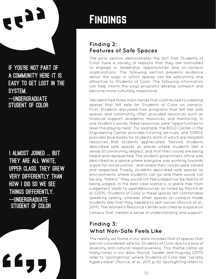

If you're not part of a community here it is easy to get lost in the system. -- UNDERGRADUATE Student of Color

I almost joined ... but they are all white, upper class. They grew very differently than how I did so we see things differently. --UNDERGRADUATE åStudent of Color

# Findings

### **Finding 2: Features of Safe Spaces**

The prior section demonstrates the fact that Students of Color have a variety of reasons that they are motivated to engage in leadership opportunities and on-campus organizations. The following section presents evidence about the ways in which spaces can be welcoming and attractive to Students of Color. The following information can help inform the ways programs develop outreach and become more culturally responsive.

We identified three main trends that contributed to creating spaces that felt safe for Students of Color on campus. First, students discussed how programs that felt like safe spaces and community often provided resources such as financial support, academic resources, and mentoring. In one student's words, these resources were "opportunities to level the playing field." For example, the BOLD Center in the Engineering Center provides tutoring services, and SORCE provides blue books for students, both of which are tangible resources that students appreciated. Second, students described safe spaces as places where students feel a sense of community, respect, and that their voices are being heard and represented. The student government office was described as a space where everyone was working towards a goal for social justice - and where their voices were valued and respected. Finally, students described safe spaces as environments where students can go and there would not be any "haters;" they would not feel judged nor be fearful of being judged. In the best case scenario, a space free from judgement leads to openddiscourse, as noted by Novick et al. (2011). Students of Color in these spaces felt comfortable speaking openly, whereas other spaces on campus made students feel that they needed to self-censor (Novick et al., 2011). The Women's Resource Center was cited as a space on campus that creates a sense of understanding and support.

# **Finding 3: What Non-Safe Feels Like**

The reality we found in our data includes that of spaces that are not considered safe for Students of Color due to a lack of diversity and cultural responsiveness. This theme came up many times in our data. Novick, Seider, and Huguley (2011) refer to "spotlighting" where Students of Color feel "racially hypervisible" (Novick, et al., 2011, p. 6). Spotlighting refers to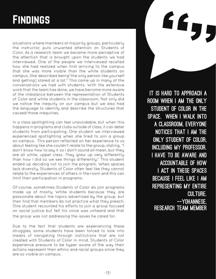# **FINDINGS**

situations where members of majority groups, particularly the instructor, puts unwanted attention on Students of Color. As a research team we became more perceptive of the attention that is brought upon the students we had interviewed. One of the people we interviewed recalled how she had realized when first arriving to the campus that she was more visible than the white students on campus. She described being"the only person like yourself and getting] stared at a lot." This came up in many of the conversations we had with students. With the extensive work that the team has done, we have become more aware of the imbalance between the representation of Students of Color and white students in the classroom. Not only did we notice the inequity on our campus but we also had the language to identify and describe the structures that caused those inequities.

In a class spotlighting can feel unavoidable, but when this happens in programs and clubs outside of class, it can deter students from participating. One student we interviewed experienced spotlighting when she tried to join a group on campus. This person reflected on her experience to us about feeling like she couldn't relate to the group, stating, "I don't know how to say it so I don't sound all mean, but they are all white, upper class. They grew up very differently than how I did so we see things differently." This student ended up deciding not to join the program. When spaces lack diversity, Students of Color often feel like they cannot relate to the experiences of others in the room and this can limit their participation in programs.

Of course, sometimes Students of Color do join programs made up of mostly White students because they are passionate about the topics advertised by the group, but then find that members do not practice what they preach. One student recounted his efforts to join a group focused on social justice but felt his voice was unheard and that the group was not addressing the issues he cared for.

Due to the fact that students are experiencing these struggles, some students have been forced to look into means of navigating through institutions that are not created with Students of Color in mind. Students of Color experience pressure to be hyper aware of the way their actions represent their ethnic and racial groups since they are so visible on campus.

It is hard to approach a room when I am the only Student of Color in the space. When I walk into a classroom, everyone notices that I am the only Student of Color, including my professor. I have to be aware and accountable of how I act in these spaces because I feel like I am representing my entire **CULTURE.** --Yohannese, Research Team Member

**667**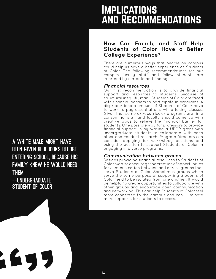# A white male might have been given bluebooks before entering school, because his family knew he would need them. --UNDERGRADUATE Student of Color

E

# Implications and Recommendations

### **How Can Faculty and Staff Help Students of Color Have a Better College Experience?**

There are numerous ways that people on campus could help us have a better experience as Students of Color. The following recommendations for our campus faculty, staff, and fellow students are informed by our data and findings.

### *Financial resources*

Our first recommendation is to provide financial support and resources to students. Because of structural inequity, many Students of Color are faced with financial barriers to participate in programs. A disproportionate amount of Students of Color have to work to pay essential bills while taking classes. Given that some extracurricular programs are time consuming, staff and faculty should come up with creative ways to relieve the financial barrier for students. One possible way for professors to provide financial support is by writing a UROP grant with undergraduate students to collaborate with each other and conduct research. Program Directors can consider applying for work-study positions and using the position to support Students of Color in engaging in diverse programs.

### *Communication between groups*

Besides providing financial resources to Students of Color, we also encourage the creation of opportunities for communication between and across groups that serve Students of Color. Sometimes groups which serve the same purpose of supporting Students of Color tend to be isolated from one another. It would be helpful to create opportunities to collaborate with other groups and encourage open communication and networking. This can help Students of Color feel more connected to the campus and can illuminate more supports for students to access.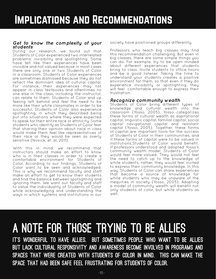#### *Get to know the complexity of your students*

During our research, we found out that Students of Color experienced two interrelated problems: invisibility and spotlighting. Some have felt like their experiences have been invisible and not valued because in most cases there are only one or two Students of Color in a classroom. Students of Color experiences are sometimes dismissed because they do not reflect the dominant idea of cultural capital. For instance, their experiences may not appear in class textbooks and oftentimes no one else in the class, including the instructor, can relate to them. Students of Color end up feeling left behind and feel the need to be more like their white classmates in order to be successful. Students of Color also experience spotlighting, in which they described being put into situations where they were expected to speak for their entire race or ethnicity. Some students who identify as Students of Color fear that sharing their opinion about race in class would make them feel like representatives of their race or they would be seen as overly sensitive (Novick, et. al, 2011).

With this in mind, we recommend that instructors should make an effort to know who is in their classes in order to create a comfortable environment for Students of Color. According to our findings, Students of Color want to be seen and acknowledged. This is why we recommend faculty and staff make an effort to get to know their students and find the balance between spotlighting and ignoring them. We want our faculty and staff to value the individuality of Students of Color while acknowledging and understanding the ways in which systems and institutions in our

society have positioned groups differently.

Professors who teach big classes may find this recommendation challenging. But even in big classes, there are some simple things you can do. For example, try to be open minded about different experiences that students bring to class. Invite students to office hours and be a good listener. Taking the time to understand your students creates a positive environment for them, so that even if they do experience invisibility or spotlighting, they will feel comfortable enough to express their frustration.

#### *Recognize community wealth*

Students of Color bring different types of knowledge and cultural wealth into the classroom (Yosso, 2005). Yosso categorizes these forms of cultural wealth as aspirational capital, linguistic capital, familial capital, social capital navigational capital and resistant capital (Yosso, 2005). Together, these forms of capital are important tools for the success of Students of Color in their communities, and if these forms of capital were to be valued in institutions,Students of Color would benefit. If professors understood and adopted Yosso's community wealth model, Students of Color would feel more valued. They would not feel the need to catch up to the knowledge of white students, rather, they would feel invited to express their community knowledge. In this way, Students of Color can share experiences that become a source of knowledge for white students who may be unaware of the inequities in society (Yosso, 2005). Adopting a model of community wealth will benefit not only students of color, but white students as well.

# A Note For Those Trying to Be Allies

IT'S WONDERFUL TO HAVE ALLIES. BUT SOMETIMES PEOPLE WHO WANT TO BE ALLIES but lack cultural responsivity and awareness become involved in programs and spaces that were created with Students of Color in mind. This can make the space that had been safe feel frustrating for Students of Color.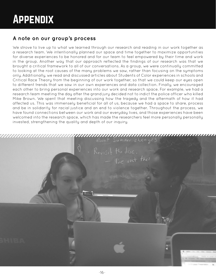### **A note on our group's process**

We strove to live up to what we learned through our research and reading in our work together as a research team. We intentionally planned our space and time together to maximize opportunities for diverse experiences to be honored and for our team to feel empowered by their time and work in the group. Another way that our approach reflected the findings of our research was that we brought a critical framework to all of our conversations. As a group, we were continually committed to looking at the root causes of the many problems we saw, rather than focusing on the symptoms only. Additionally, we read and discussed articles about Students of Color experiences in schools and Critical Race Theory from the beginning of our work together, so that we could keep our eyes open to different trends that we saw in our own experiences and data collection. Finally, we encouraged each other to bring personal experiences into our work and research space. For example, we had a research team meeting the day after the grand jury decided not to indict the police officer who killed Mike Brown. We spent that meeting discussing how the tragedy and the aftermath of how it had affected us. This was immensely beneficial for all of us, because we had a space to share, process and be in solidarity for racial justice and an end to violence together. Throughout the process, we have found connections between our work and our everyday lives, and those experiences have been welcomed into the research space, which has made the researchers feel more personally personally invested, strengthening the quality and depth of our inquiry.

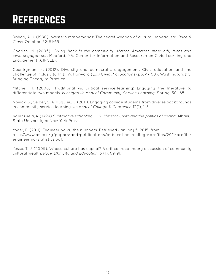# References

Bishop, A. J. (1990). Western mathematics: The secret weapon of cultural imperialism. *Race & Class*, October, 32: 51-65.

Charles, M. (2005). *Giving back to the community: African American inner city teens and civic engagement*. Medford, MA: Center for Information and Research on Civic Learning and Engagement (CIRCLE).

Countryman, M. (2012). Diversity and democratic engagement. Civic education and the challenge of inclusivity. In D. W. Harward (Ed.) *Civic Provocations* (pp. 47-50). Washington, DC: Bringing Theory to Practice.

Mitchell, T. (2008). Traditional vs. critical service-learning: Engaging the literature to differentiate two models. *Michigan Journal of Community Service Learning*, Spring, 50- 65.

Novick, S., Seider, S., & Huguley, J. (2011). Engaging college students from diverse backgrounds in community service learning. J*ournal of College & Character*, 12(1), 1–8.

Valenzuela, A. (1999) *Subtractive schooling: U.S.-Mexican youth and the politics of caring*. Albany: State University of New York Press.

Yoder, B. (2011). Engineering by the numbers. Retrieved January 5, 2015, from http://www.asee.org/papers-and-publications/publications/college-profiles/2011-profileengineering-statistics.pdf.

Yosso, T. J. (2005). Whose culture has capital? A critical race theory discussion of community cultural wealth. *Race Ethnicity and Education*, 8 (1), 69-91.